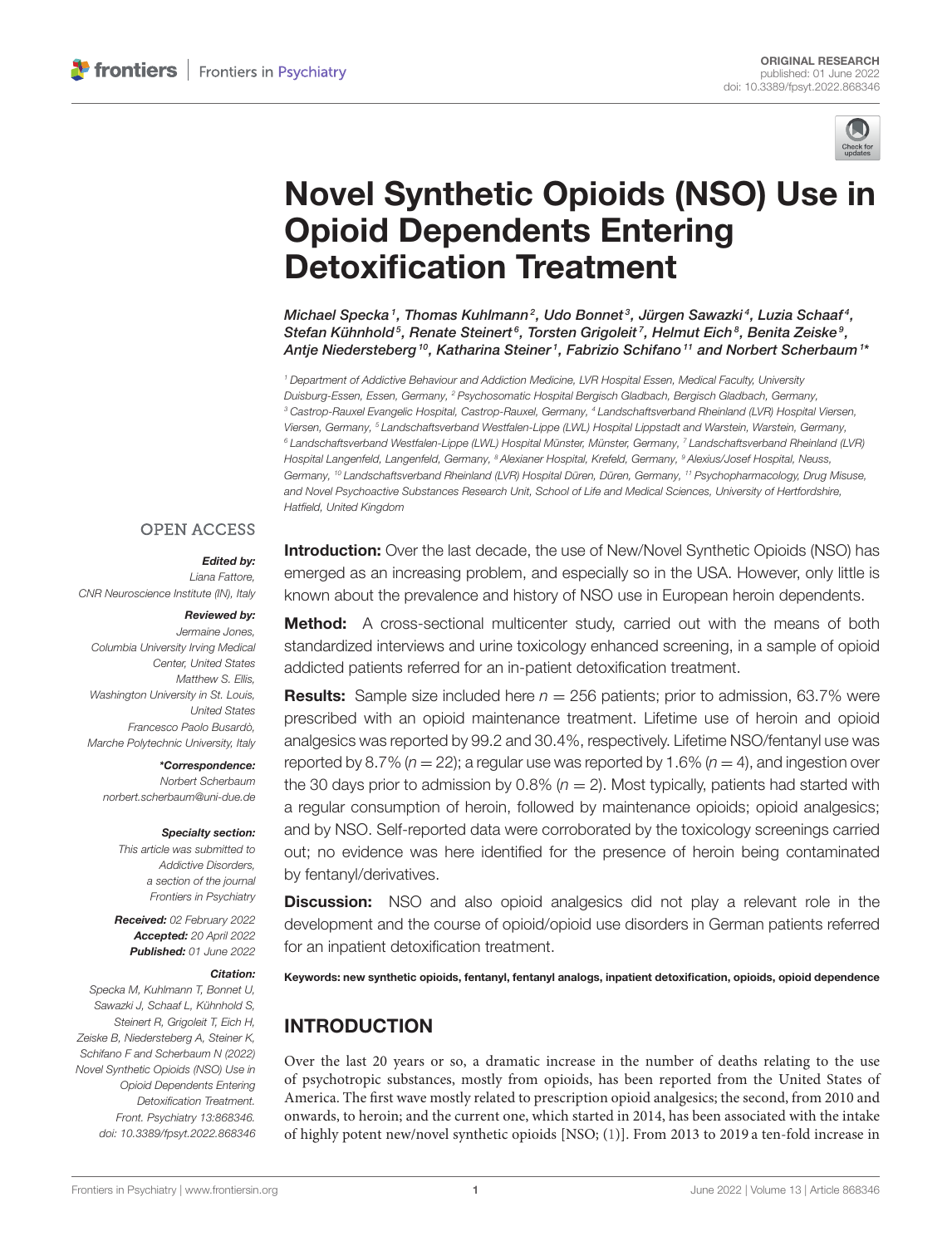

# [Novel Synthetic Opioids \(NSO\) Use in](https://www.frontiersin.org/articles/10.3389/fpsyt.2022.868346/full) Opioid Dependents Entering Detoxification Treatment

Michael Specka1, Thomas Kuhlmann $^2$ , Udo Bonnet $^3$ , Jürgen Sawazki $^4$ , Luzia Schaaf $^4$ , Stefan Kühnhold $^5$ , Renate Steinert $^6$ , Torsten Grigoleit $^7$ , Helmut Eich $^8$ , Benita Zeiske $^9$ , Antje Niedersteberg <sup>10</sup>, Katharina Steiner <sup>1</sup>, Fabrizio Schifano <sup>11</sup> and Norbert Scherbaum <sup>1</sup>\*

<sup>1</sup> Department of Addictive Behaviour and Addiction Medicine, LVR Hospital Essen, Medical Faculty, University Duisburg-Essen, Essen, Germany, <sup>2</sup> Psychosomatic Hospital Bergisch Gladbach, Bergisch Gladbach, Germany, <sup>3</sup> Castrop-Rauxel Evangelic Hospital, Castrop-Rauxel, Germany, <sup>4</sup> Landschaftsverband Rheinland (LVR) Hospital Viersen, Viersen, Germany, <sup>5</sup> Landschaftsverband Westfalen-Lippe (LWL) Hospital Lippstadt and Warstein, Warstein, Germany, <sup>6</sup> Landschaftsverband Westfalen-Lippe (LWL) Hospital Münster, Münster, Germany, <sup>7</sup> Landschaftsverband Rheinland (LVR) Hospital Langenfeld, Langenfeld, Germany, <sup>8</sup> Alexianer Hospital, Krefeld, Germany, <sup>9</sup> Alexius/Josef Hospital, Neuss, Germany, <sup>10</sup> Landschaftsverband Rheinland (LVR) Hospital Düren, Düren, Germany, <sup>11</sup> Psychopharmacology, Drug Misuse, and Novel Psychoactive Substances Research Unit, School of Life and Medical Sciences, University of Hertfordshire, Hatfield, United Kingdom

### **OPEN ACCESS**

### Edited by:

Liana Fattore, CNR Neuroscience Institute (IN), Italy

#### Reviewed by:

Jermaine Jones, Columbia University Irving Medical Center, United States Matthew S. Filis Washington University in St. Louis, United States Francesco Paolo Busardò, Marche Polytechnic University, Italy

\*Correspondence: Norbert Scherbaum [norbert.scherbaum@uni-due.de](mailto:norbert.scherbaum@uni-due.de)

#### Specialty section:

This article was submitted to Addictive Disorders, a section of the journal Frontiers in Psychiatry

Received: 02 February 2022 Accepted: 20 April 2022 Published: 01 June 2022

#### Citation:

Specka M, Kuhlmann T, Bonnet U, Sawazki J, Schaaf L, Kühnhold S, Steinert R, Grigoleit T, Eich H, Zeiske B, Niedersteberg A, Steiner K, Schifano F and Scherbaum N (2022) Novel Synthetic Opioids (NSO) Use in Opioid Dependents Entering Detoxification Treatment. Front. Psychiatry 13:868346. doi: [10.3389/fpsyt.2022.868346](https://doi.org/10.3389/fpsyt.2022.868346) **Introduction:** Over the last decade, the use of New/Novel Synthetic Opioids (NSO) has emerged as an increasing problem, and especially so in the USA. However, only little is known about the prevalence and history of NSO use in European heroin dependents.

**Method:** A cross-sectional multicenter study, carried out with the means of both standardized interviews and urine toxicology enhanced screening, in a sample of opioid addicted patients referred for an in-patient detoxification treatment.

**Results:** Sample size included here  $n = 256$  patients; prior to admission, 63.7% were prescribed with an opioid maintenance treatment. Lifetime use of heroin and opioid analgesics was reported by 99.2 and 30.4%, respectively. Lifetime NSO/fentanyl use was reported by 8.7% ( $n = 22$ ); a regular use was reported by 1.6% ( $n = 4$ ), and ingestion over the 30 days prior to admission by 0.8% ( $n = 2$ ). Most typically, patients had started with a regular consumption of heroin, followed by maintenance opioids; opioid analgesics; and by NSO. Self-reported data were corroborated by the toxicology screenings carried out; no evidence was here identified for the presence of heroin being contaminated by fentanyl/derivatives.

**Discussion:** NSO and also opioid analgesics did not play a relevant role in the development and the course of opioid/opioid use disorders in German patients referred for an inpatient detoxification treatment.

Keywords: new synthetic opioids, fentanyl, fentanyl analogs, inpatient detoxification, opioids, opioid dependence

# INTRODUCTION

Over the last 20 years or so, a dramatic increase in the number of deaths relating to the use of psychotropic substances, mostly from opioids, has been reported from the United States of America. The first wave mostly related to prescription opioid analgesics; the second, from 2010 and onwards, to heroin; and the current one, which started in 2014, has been associated with the intake of highly potent new/novel synthetic opioids [NSO; [\(1\)](#page-6-0)]. From 2013 to 2019 a ten-fold increase in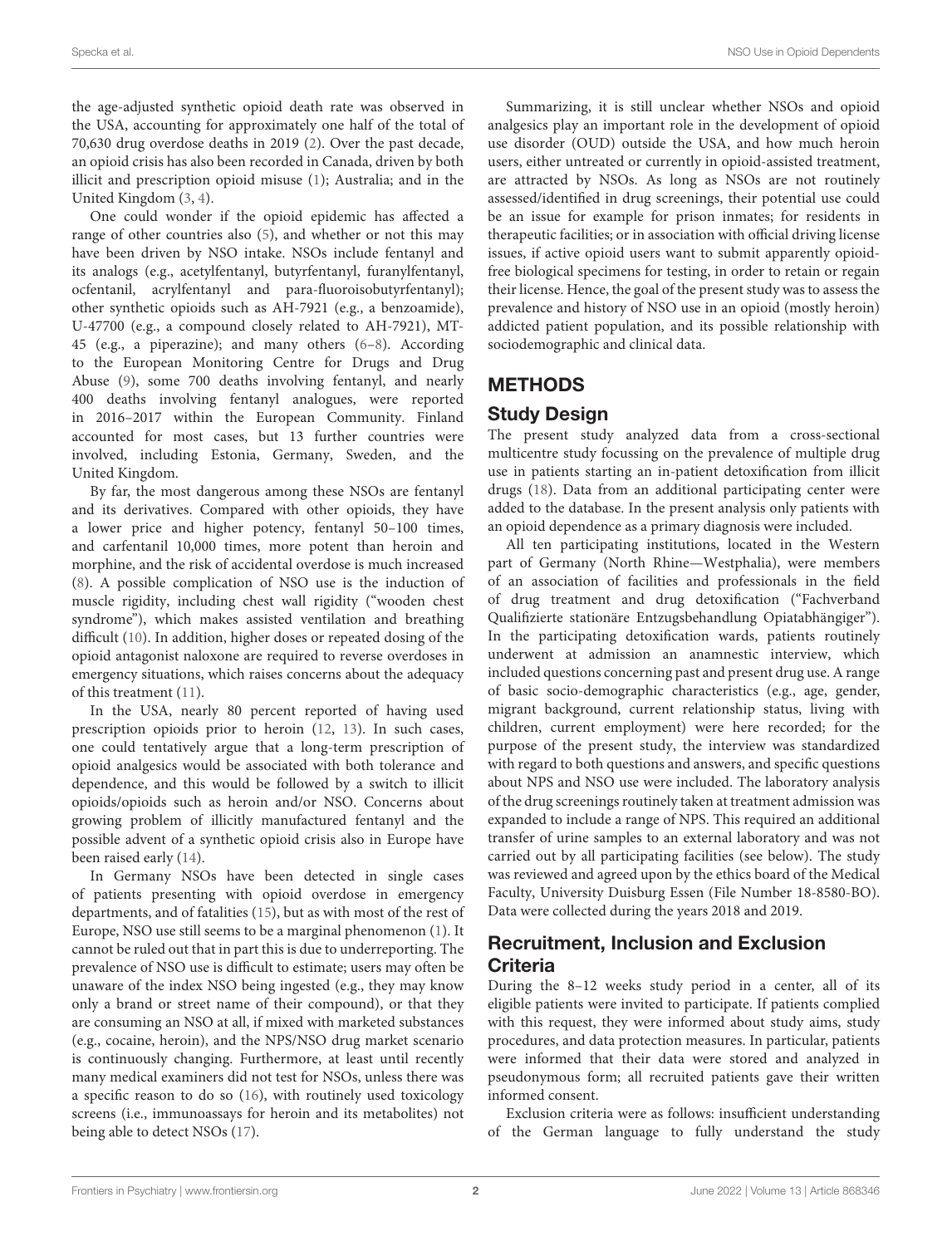the age-adjusted synthetic opioid death rate was observed in the USA, accounting for approximately one half of the total of 70,630 drug overdose deaths in 2019 [\(2\)](#page-6-1). Over the past decade, an opioid crisis has also been recorded in Canada, driven by both illicit and prescription opioid misuse [\(1\)](#page-6-0); Australia; and in the United Kingdom [\(3,](#page-6-2) [4\)](#page-6-3).

One could wonder if the opioid epidemic has affected a range of other countries also [\(5\)](#page-6-4), and whether or not this may have been driven by NSO intake. NSOs include fentanyl and its analogs (e.g., acetylfentanyl, butyrfentanyl, furanylfentanyl, ocfentanil, acrylfentanyl and para-fluoroisobutyrfentanyl); other synthetic opioids such as AH-7921 (e.g., a benzoamide), U-47700 (e.g., a compound closely related to AH-7921), MT-45 (e.g., a piperazine); and many others [\(6–](#page-6-5)[8\)](#page-6-6). According to the European Monitoring Centre for Drugs and Drug Abuse [\(9\)](#page-6-7), some 700 deaths involving fentanyl, and nearly 400 deaths involving fentanyl analogues, were reported in 2016–2017 within the European Community. Finland accounted for most cases, but 13 further countries were involved, including Estonia, Germany, Sweden, and the United Kingdom.

By far, the most dangerous among these NSOs are fentanyl and its derivatives. Compared with other opioids, they have a lower price and higher potency, fentanyl 50–100 times, and carfentanil 10,000 times, more potent than heroin and morphine, and the risk of accidental overdose is much increased [\(8\)](#page-6-6). A possible complication of NSO use is the induction of muscle rigidity, including chest wall rigidity ("wooden chest syndrome"), which makes assisted ventilation and breathing difficult [\(10\)](#page-6-8). In addition, higher doses or repeated dosing of the opioid antagonist naloxone are required to reverse overdoses in emergency situations, which raises concerns about the adequacy of this treatment [\(11\)](#page-6-9).

In the USA, nearly 80 percent reported of having used prescription opioids prior to heroin [\(12,](#page-6-10) [13\)](#page-6-11). In such cases, one could tentatively argue that a long-term prescription of opioid analgesics would be associated with both tolerance and dependence, and this would be followed by a switch to illicit opioids/opioids such as heroin and/or NSO. Concerns about growing problem of illicitly manufactured fentanyl and the possible advent of a synthetic opioid crisis also in Europe have been raised early [\(14\)](#page-6-12).

In Germany NSOs have been detected in single cases of patients presenting with opioid overdose in emergency departments, and of fatalities [\(15\)](#page-6-13), but as with most of the rest of Europe, NSO use still seems to be a marginal phenomenon [\(1\)](#page-6-0). It cannot be ruled out that in part this is due to underreporting. The prevalence of NSO use is difficult to estimate; users may often be unaware of the index NSO being ingested (e.g., they may know only a brand or street name of their compound), or that they are consuming an NSO at all, if mixed with marketed substances (e.g., cocaine, heroin), and the NPS/NSO drug market scenario is continuously changing. Furthermore, at least until recently many medical examiners did not test for NSOs, unless there was a specific reason to do so [\(16\)](#page-6-14), with routinely used toxicology screens (i.e., immunoassays for heroin and its metabolites) not being able to detect NSOs [\(17\)](#page-6-15).

Summarizing, it is still unclear whether NSOs and opioid analgesics play an important role in the development of opioid use disorder (OUD) outside the USA, and how much heroin users, either untreated or currently in opioid-assisted treatment, are attracted by NSOs. As long as NSOs are not routinely assessed/identified in drug screenings, their potential use could be an issue for example for prison inmates; for residents in therapeutic facilities; or in association with official driving license issues, if active opioid users want to submit apparently opioidfree biological specimens for testing, in order to retain or regain their license. Hence, the goal of the present study was to assess the prevalence and history of NSO use in an opioid (mostly heroin) addicted patient population, and its possible relationship with sociodemographic and clinical data.

# METHODS

# Study Design

The present study analyzed data from a cross-sectional multicentre study focussing on the prevalence of multiple drug use in patients starting an in-patient detoxification from illicit drugs [\(18\)](#page-6-16). Data from an additional participating center were added to the database. In the present analysis only patients with an opioid dependence as a primary diagnosis were included.

All ten participating institutions, located in the Western part of Germany (North Rhine—Westphalia), were members of an association of facilities and professionals in the field of drug treatment and drug detoxification ("Fachverband Qualifizierte stationäre Entzugsbehandlung Opiatabhängiger"). In the participating detoxification wards, patients routinely underwent at admission an anamnestic interview, which included questions concerning past and present drug use. A range of basic socio-demographic characteristics (e.g., age, gender, migrant background, current relationship status, living with children, current employment) were here recorded; for the purpose of the present study, the interview was standardized with regard to both questions and answers, and specific questions about NPS and NSO use were included. The laboratory analysis of the drug screenings routinely taken at treatment admission was expanded to include a range of NPS. This required an additional transfer of urine samples to an external laboratory and was not carried out by all participating facilities (see below). The study was reviewed and agreed upon by the ethics board of the Medical Faculty, University Duisburg Essen (File Number 18-8580-BO). Data were collected during the years 2018 and 2019.

# Recruitment, Inclusion and Exclusion **Criteria**

During the 8–12 weeks study period in a center, all of its eligible patients were invited to participate. If patients complied with this request, they were informed about study aims, study procedures, and data protection measures. In particular, patients were informed that their data were stored and analyzed in pseudonymous form; all recruited patients gave their written informed consent.

Exclusion criteria were as follows: insufficient understanding of the German language to fully understand the study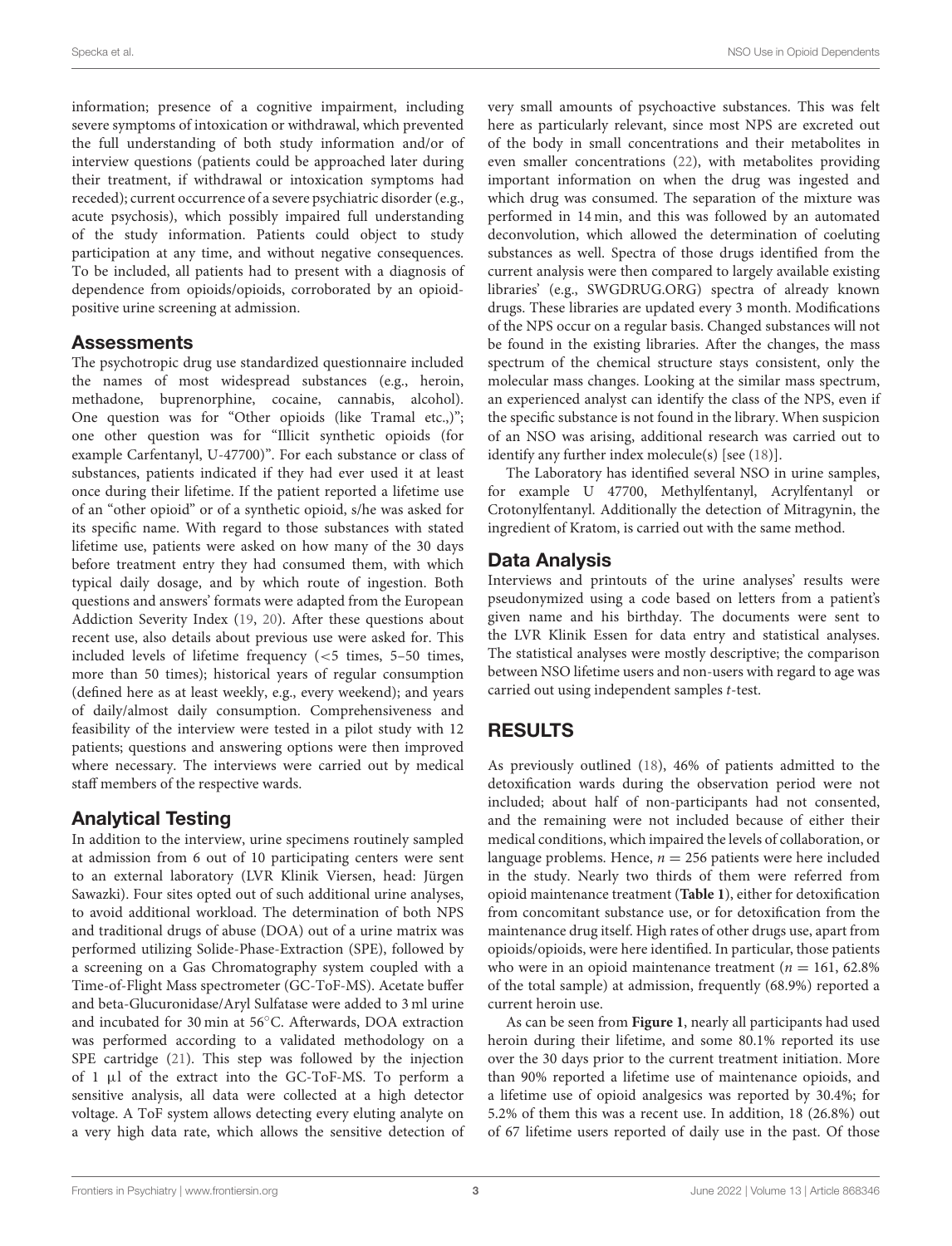information; presence of a cognitive impairment, including severe symptoms of intoxication or withdrawal, which prevented the full understanding of both study information and/or of interview questions (patients could be approached later during their treatment, if withdrawal or intoxication symptoms had receded); current occurrence of a severe psychiatric disorder (e.g., acute psychosis), which possibly impaired full understanding of the study information. Patients could object to study participation at any time, and without negative consequences. To be included, all patients had to present with a diagnosis of dependence from opioids/opioids, corroborated by an opioidpositive urine screening at admission.

### **Assessments**

The psychotropic drug use standardized questionnaire included the names of most widespread substances (e.g., heroin, methadone, buprenorphine, cocaine, cannabis, alcohol). One question was for "Other opioids (like Tramal etc.,)"; one other question was for "Illicit synthetic opioids (for example Carfentanyl, U-47700)". For each substance or class of substances, patients indicated if they had ever used it at least once during their lifetime. If the patient reported a lifetime use of an "other opioid" or of a synthetic opioid, s/he was asked for its specific name. With regard to those substances with stated lifetime use, patients were asked on how many of the 30 days before treatment entry they had consumed them, with which typical daily dosage, and by which route of ingestion. Both questions and answers' formats were adapted from the European Addiction Severity Index [\(19,](#page-6-17) [20\)](#page-6-18). After these questions about recent use, also details about previous use were asked for. This included levels of lifetime frequency (<5 times, 5–50 times, more than 50 times); historical years of regular consumption (defined here as at least weekly, e.g., every weekend); and years of daily/almost daily consumption. Comprehensiveness and feasibility of the interview were tested in a pilot study with 12 patients; questions and answering options were then improved where necessary. The interviews were carried out by medical staff members of the respective wards.

### Analytical Testing

In addition to the interview, urine specimens routinely sampled at admission from 6 out of 10 participating centers were sent to an external laboratory (LVR Klinik Viersen, head: Jürgen Sawazki). Four sites opted out of such additional urine analyses, to avoid additional workload. The determination of both NPS and traditional drugs of abuse (DOA) out of a urine matrix was performed utilizing Solide-Phase-Extraction (SPE), followed by a screening on a Gas Chromatography system coupled with a Time-of-Flight Mass spectrometer (GC-ToF-MS). Acetate buffer and beta-Glucuronidase/Aryl Sulfatase were added to 3 ml urine and incubated for 30 min at 56◦C. Afterwards, DOA extraction was performed according to a validated methodology on a SPE cartridge [\(21\)](#page-6-19). This step was followed by the injection of 1 µl of the extract into the GC-ToF-MS. To perform a sensitive analysis, all data were collected at a high detector voltage. A ToF system allows detecting every eluting analyte on a very high data rate, which allows the sensitive detection of very small amounts of psychoactive substances. This was felt here as particularly relevant, since most NPS are excreted out of the body in small concentrations and their metabolites in even smaller concentrations [\(22\)](#page-6-20), with metabolites providing important information on when the drug was ingested and which drug was consumed. The separation of the mixture was performed in 14 min, and this was followed by an automated deconvolution, which allowed the determination of coeluting substances as well. Spectra of those drugs identified from the current analysis were then compared to largely available existing libraries' (e.g., [SWGDRUG.ORG\)](SWGDRUG.ORG) spectra of already known drugs. These libraries are updated every 3 month. Modifications of the NPS occur on a regular basis. Changed substances will not be found in the existing libraries. After the changes, the mass spectrum of the chemical structure stays consistent, only the molecular mass changes. Looking at the similar mass spectrum, an experienced analyst can identify the class of the NPS, even if the specific substance is not found in the library. When suspicion of an NSO was arising, additional research was carried out to identify any further index molecule(s) [see [\(18\)](#page-6-16)].

The Laboratory has identified several NSO in urine samples, for example U 47700, Methylfentanyl, Acrylfentanyl or Crotonylfentanyl. Additionally the detection of Mitragynin, the ingredient of Kratom, is carried out with the same method.

### Data Analysis

Interviews and printouts of the urine analyses' results were pseudonymized using a code based on letters from a patient's given name and his birthday. The documents were sent to the LVR Klinik Essen for data entry and statistical analyses. The statistical analyses were mostly descriptive; the comparison between NSO lifetime users and non-users with regard to age was carried out using independent samples t-test.

# RESULTS

As previously outlined [\(18\)](#page-6-16), 46% of patients admitted to the detoxification wards during the observation period were not included; about half of non-participants had not consented, and the remaining were not included because of either their medical conditions, which impaired the levels of collaboration, or language problems. Hence,  $n = 256$  patients were here included in the study. Nearly two thirds of them were referred from opioid maintenance treatment (**[Table 1](#page-3-0)**), either for detoxification from concomitant substance use, or for detoxification from the maintenance drug itself. High rates of other drugs use, apart from opioids/opioids, were here identified. In particular, those patients who were in an opioid maintenance treatment ( $n = 161, 62.8\%$ ) of the total sample) at admission, frequently (68.9%) reported a current heroin use.

As can be seen from **[Figure 1](#page-3-1)**, nearly all participants had used heroin during their lifetime, and some 80.1% reported its use over the 30 days prior to the current treatment initiation. More than 90% reported a lifetime use of maintenance opioids, and a lifetime use of opioid analgesics was reported by 30.4%; for 5.2% of them this was a recent use. In addition, 18 (26.8%) out of 67 lifetime users reported of daily use in the past. Of those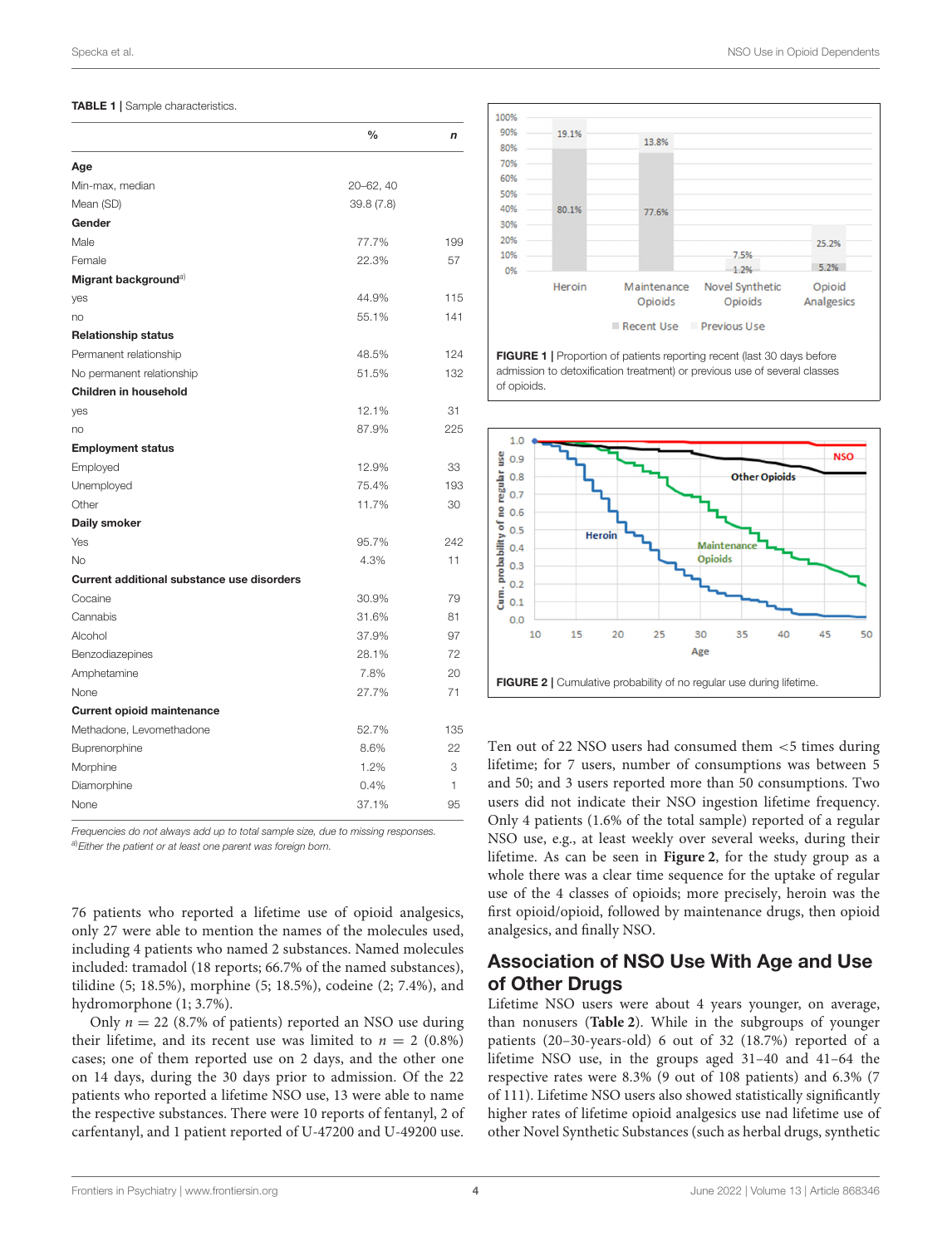#### <span id="page-3-0"></span>TABLE 1 | Sample characteristics.

| Min-max, median<br>20-62, 40<br>Mean (SD)<br>39.8(7.8)<br>Gender<br>Male<br>77.7%<br>Female<br>22.3%<br>57<br>Migrant background <sup>a)</sup><br>44.9%<br>55.1%<br><b>Relationship status</b><br>48.5%<br>Permanent relationship<br>51.5%<br>No permanent relationship<br>Children in household<br>31<br>12.1%<br>87.9%<br>no<br><b>Employment status</b><br>12.9%<br>33<br>Employed<br>75.4%<br>11.7%<br>Other<br>30<br>95.7%<br>4.3%<br><b>No</b><br>11<br><b>Current additional substance use disorders</b><br>79<br>Cocaine<br>30.9%<br>Cannabis<br>31.6%<br>81<br>37.9%<br>97<br>28.1%<br>72<br>Benzodiazepines<br>7.8%<br>20<br>27.7%<br>71<br>None<br><b>Current opioid maintenance</b><br>Methadone, Levomethadone<br>52.7%<br>8.6%<br>22<br>Buprenorphine<br>1.2%<br>Morphine<br>3<br>0.4%<br>Diamorphine<br>1<br>37.1%<br>None<br>95 |              | $\frac{0}{0}$ | n   |
|-------------------------------------------------------------------------------------------------------------------------------------------------------------------------------------------------------------------------------------------------------------------------------------------------------------------------------------------------------------------------------------------------------------------------------------------------------------------------------------------------------------------------------------------------------------------------------------------------------------------------------------------------------------------------------------------------------------------------------------------------------------------------------------------------------------------------------------------------|--------------|---------------|-----|
|                                                                                                                                                                                                                                                                                                                                                                                                                                                                                                                                                                                                                                                                                                                                                                                                                                                 | Age          |               |     |
|                                                                                                                                                                                                                                                                                                                                                                                                                                                                                                                                                                                                                                                                                                                                                                                                                                                 |              |               |     |
|                                                                                                                                                                                                                                                                                                                                                                                                                                                                                                                                                                                                                                                                                                                                                                                                                                                 |              |               |     |
|                                                                                                                                                                                                                                                                                                                                                                                                                                                                                                                                                                                                                                                                                                                                                                                                                                                 |              |               |     |
|                                                                                                                                                                                                                                                                                                                                                                                                                                                                                                                                                                                                                                                                                                                                                                                                                                                 |              |               | 199 |
|                                                                                                                                                                                                                                                                                                                                                                                                                                                                                                                                                                                                                                                                                                                                                                                                                                                 |              |               |     |
|                                                                                                                                                                                                                                                                                                                                                                                                                                                                                                                                                                                                                                                                                                                                                                                                                                                 |              |               |     |
|                                                                                                                                                                                                                                                                                                                                                                                                                                                                                                                                                                                                                                                                                                                                                                                                                                                 | yes          |               | 115 |
|                                                                                                                                                                                                                                                                                                                                                                                                                                                                                                                                                                                                                                                                                                                                                                                                                                                 | no           |               | 141 |
|                                                                                                                                                                                                                                                                                                                                                                                                                                                                                                                                                                                                                                                                                                                                                                                                                                                 |              |               |     |
|                                                                                                                                                                                                                                                                                                                                                                                                                                                                                                                                                                                                                                                                                                                                                                                                                                                 |              |               | 124 |
|                                                                                                                                                                                                                                                                                                                                                                                                                                                                                                                                                                                                                                                                                                                                                                                                                                                 |              |               | 132 |
|                                                                                                                                                                                                                                                                                                                                                                                                                                                                                                                                                                                                                                                                                                                                                                                                                                                 |              |               |     |
|                                                                                                                                                                                                                                                                                                                                                                                                                                                                                                                                                                                                                                                                                                                                                                                                                                                 | yes          |               |     |
|                                                                                                                                                                                                                                                                                                                                                                                                                                                                                                                                                                                                                                                                                                                                                                                                                                                 |              |               | 225 |
|                                                                                                                                                                                                                                                                                                                                                                                                                                                                                                                                                                                                                                                                                                                                                                                                                                                 |              |               |     |
|                                                                                                                                                                                                                                                                                                                                                                                                                                                                                                                                                                                                                                                                                                                                                                                                                                                 |              |               |     |
|                                                                                                                                                                                                                                                                                                                                                                                                                                                                                                                                                                                                                                                                                                                                                                                                                                                 | Unemployed   |               | 193 |
|                                                                                                                                                                                                                                                                                                                                                                                                                                                                                                                                                                                                                                                                                                                                                                                                                                                 |              |               |     |
|                                                                                                                                                                                                                                                                                                                                                                                                                                                                                                                                                                                                                                                                                                                                                                                                                                                 | Daily smoker |               |     |
|                                                                                                                                                                                                                                                                                                                                                                                                                                                                                                                                                                                                                                                                                                                                                                                                                                                 | Yes          |               | 242 |
|                                                                                                                                                                                                                                                                                                                                                                                                                                                                                                                                                                                                                                                                                                                                                                                                                                                 |              |               |     |
|                                                                                                                                                                                                                                                                                                                                                                                                                                                                                                                                                                                                                                                                                                                                                                                                                                                 |              |               |     |
|                                                                                                                                                                                                                                                                                                                                                                                                                                                                                                                                                                                                                                                                                                                                                                                                                                                 |              |               |     |
|                                                                                                                                                                                                                                                                                                                                                                                                                                                                                                                                                                                                                                                                                                                                                                                                                                                 |              |               |     |
|                                                                                                                                                                                                                                                                                                                                                                                                                                                                                                                                                                                                                                                                                                                                                                                                                                                 | Alcohol      |               |     |
|                                                                                                                                                                                                                                                                                                                                                                                                                                                                                                                                                                                                                                                                                                                                                                                                                                                 |              |               |     |
|                                                                                                                                                                                                                                                                                                                                                                                                                                                                                                                                                                                                                                                                                                                                                                                                                                                 | Amphetamine  |               |     |
|                                                                                                                                                                                                                                                                                                                                                                                                                                                                                                                                                                                                                                                                                                                                                                                                                                                 |              |               |     |
|                                                                                                                                                                                                                                                                                                                                                                                                                                                                                                                                                                                                                                                                                                                                                                                                                                                 |              |               |     |
|                                                                                                                                                                                                                                                                                                                                                                                                                                                                                                                                                                                                                                                                                                                                                                                                                                                 |              |               | 135 |
|                                                                                                                                                                                                                                                                                                                                                                                                                                                                                                                                                                                                                                                                                                                                                                                                                                                 |              |               |     |
|                                                                                                                                                                                                                                                                                                                                                                                                                                                                                                                                                                                                                                                                                                                                                                                                                                                 |              |               |     |
|                                                                                                                                                                                                                                                                                                                                                                                                                                                                                                                                                                                                                                                                                                                                                                                                                                                 |              |               |     |
|                                                                                                                                                                                                                                                                                                                                                                                                                                                                                                                                                                                                                                                                                                                                                                                                                                                 |              |               |     |

Frequencies do not always add up to total sample size, due to missing responses. a) Either the patient or at least one parent was foreign born.

76 patients who reported a lifetime use of opioid analgesics, only 27 were able to mention the names of the molecules used, including 4 patients who named 2 substances. Named molecules included: tramadol (18 reports; 66.7% of the named substances), tilidine (5; 18.5%), morphine (5; 18.5%), codeine (2; 7.4%), and hydromorphone (1; 3.7%).

Only  $n = 22$  (8.7% of patients) reported an NSO use during their lifetime, and its recent use was limited to  $n = 2$  (0.8%) cases; one of them reported use on 2 days, and the other one on 14 days, during the 30 days prior to admission. Of the 22 patients who reported a lifetime NSO use, 13 were able to name the respective substances. There were 10 reports of fentanyl, 2 of carfentanyl, and 1 patient reported of U-47200 and U-49200 use.



<span id="page-3-1"></span>FIGURE 1 | Proportion of patients reporting recent (last 30 days before admission to detoxification treatment) or previous use of several classes of opioids.



<span id="page-3-2"></span>Ten out of 22 NSO users had consumed them <5 times during lifetime; for 7 users, number of consumptions was between 5 and 50; and 3 users reported more than 50 consumptions. Two users did not indicate their NSO ingestion lifetime frequency. Only 4 patients (1.6% of the total sample) reported of a regular NSO use, e.g., at least weekly over several weeks, during their lifetime. As can be seen in **[Figure 2](#page-3-2)**, for the study group as a whole there was a clear time sequence for the uptake of regular use of the 4 classes of opioids; more precisely, heroin was the first opioid/opioid, followed by maintenance drugs, then opioid analgesics, and finally NSO.

# Association of NSO Use With Age and Use of Other Drugs

Lifetime NSO users were about 4 years younger, on average, than nonusers (**[Table 2](#page-4-0)**). While in the subgroups of younger patients (20–30-years-old) 6 out of 32 (18.7%) reported of a lifetime NSO use, in the groups aged 31–40 and 41–64 the respective rates were 8.3% (9 out of 108 patients) and 6.3% (7 of 111). Lifetime NSO users also showed statistically significantly higher rates of lifetime opioid analgesics use nad lifetime use of other Novel Synthetic Substances (such as herbal drugs, synthetic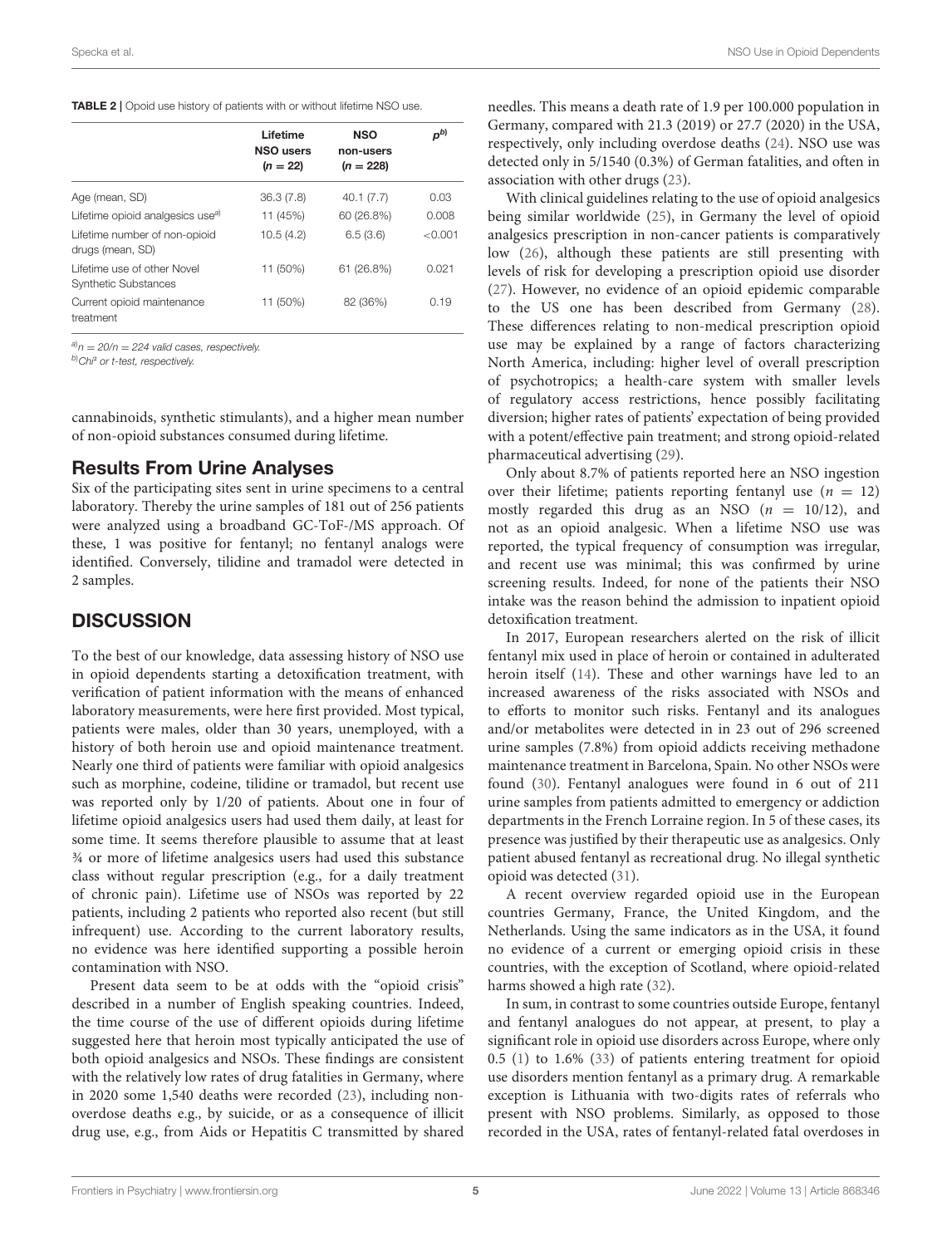#### <span id="page-4-0"></span>TABLE 2 | Opoid use history of patients with or without lifetime NSO use.

|                                                            | Lifetime<br><b>NSO users</b><br>$(n = 22)$ | <b>NSO</b><br>non-users<br>$(n = 228)$ | pb)     |
|------------------------------------------------------------|--------------------------------------------|----------------------------------------|---------|
| Age (mean, SD)                                             | 36.3(7.8)                                  | 40.1(7.7)                              | 0.03    |
| Lifetime opioid analgesics use <sup>a)</sup>               | 11 (45%)                                   | 60 (26.8%)                             | 0.008   |
| Lifetime number of non-opioid<br>drugs (mean, SD)          | 10.5(4.2)                                  | 6.5(3.6)                               | < 0.001 |
| Lifetime use of other Novel<br><b>Synthetic Substances</b> | 11 (50%)                                   | 61 (26.8%)                             | 0.021   |
| Current opioid maintenance<br>treatment                    | 11 (50%)                                   | 82 (36%)                               | 0.19    |

 $a_n = 20/n = 224$  valid cases, respectively.

b)Chi<sup>2</sup> or t-test, respectively.

cannabinoids, synthetic stimulants), and a higher mean number of non-opioid substances consumed during lifetime.

### Results From Urine Analyses

Six of the participating sites sent in urine specimens to a central laboratory. Thereby the urine samples of 181 out of 256 patients were analyzed using a broadband GC-ToF-/MS approach. Of these, 1 was positive for fentanyl; no fentanyl analogs were identified. Conversely, tilidine and tramadol were detected in 2 samples.

### **DISCUSSION**

To the best of our knowledge, data assessing history of NSO use in opioid dependents starting a detoxification treatment, with verification of patient information with the means of enhanced laboratory measurements, were here first provided. Most typical, patients were males, older than 30 years, unemployed, with a history of both heroin use and opioid maintenance treatment. Nearly one third of patients were familiar with opioid analgesics such as morphine, codeine, tilidine or tramadol, but recent use was reported only by 1/20 of patients. About one in four of lifetime opioid analgesics users had used them daily, at least for some time. It seems therefore plausible to assume that at least ¾ or more of lifetime analgesics users had used this substance class without regular prescription (e.g., for a daily treatment of chronic pain). Lifetime use of NSOs was reported by 22 patients, including 2 patients who reported also recent (but still infrequent) use. According to the current laboratory results, no evidence was here identified supporting a possible heroin contamination with NSO.

Present data seem to be at odds with the "opioid crisis" described in a number of English speaking countries. Indeed, the time course of the use of different opioids during lifetime suggested here that heroin most typically anticipated the use of both opioid analgesics and NSOs. These findings are consistent with the relatively low rates of drug fatalities in Germany, where in 2020 some 1,540 deaths were recorded [\(23\)](#page-6-21), including nonoverdose deaths e.g., by suicide, or as a consequence of illicit drug use, e.g., from Aids or Hepatitis C transmitted by shared needles. This means a death rate of 1.9 per 100.000 population in Germany, compared with 21.3 (2019) or 27.7 (2020) in the USA, respectively, only including overdose deaths [\(24\)](#page-6-22). NSO use was detected only in 5/1540 (0.3%) of German fatalities, and often in association with other drugs [\(23\)](#page-6-21).

With clinical guidelines relating to the use of opioid analgesics being similar worldwide [\(25\)](#page-6-23), in Germany the level of opioid analgesics prescription in non-cancer patients is comparatively low [\(26\)](#page-7-0), although these patients are still presenting with levels of risk for developing a prescription opioid use disorder [\(27\)](#page-7-1). However, no evidence of an opioid epidemic comparable to the US one has been described from Germany [\(28\)](#page-7-2). These differences relating to non-medical prescription opioid use may be explained by a range of factors characterizing North America, including: higher level of overall prescription of psychotropics; a health-care system with smaller levels of regulatory access restrictions, hence possibly facilitating diversion; higher rates of patients' expectation of being provided with a potent/effective pain treatment; and strong opioid-related pharmaceutical advertising [\(29\)](#page-7-3).

Only about 8.7% of patients reported here an NSO ingestion over their lifetime; patients reporting fentanyl use  $(n = 12)$ mostly regarded this drug as an NSO  $(n = 10/12)$ , and not as an opioid analgesic. When a lifetime NSO use was reported, the typical frequency of consumption was irregular, and recent use was minimal; this was confirmed by urine screening results. Indeed, for none of the patients their NSO intake was the reason behind the admission to inpatient opioid detoxification treatment.

In 2017, European researchers alerted on the risk of illicit fentanyl mix used in place of heroin or contained in adulterated heroin itself [\(14\)](#page-6-12). These and other warnings have led to an increased awareness of the risks associated with NSOs and to efforts to monitor such risks. Fentanyl and its analogues and/or metabolites were detected in in 23 out of 296 screened urine samples (7.8%) from opioid addicts receiving methadone maintenance treatment in Barcelona, Spain. No other NSOs were found [\(30\)](#page-7-4). Fentanyl analogues were found in 6 out of 211 urine samples from patients admitted to emergency or addiction departments in the French Lorraine region. In 5 of these cases, its presence was justified by their therapeutic use as analgesics. Only patient abused fentanyl as recreational drug. No illegal synthetic opioid was detected [\(31\)](#page-7-5).

A recent overview regarded opioid use in the European countries Germany, France, the United Kingdom, and the Netherlands. Using the same indicators as in the USA, it found no evidence of a current or emerging opioid crisis in these countries, with the exception of Scotland, where opioid-related harms showed a high rate [\(32\)](#page-7-6).

In sum, in contrast to some countries outside Europe, fentanyl and fentanyl analogues do not appear, at present, to play a significant role in opioid use disorders across Europe, where only 0.5 [\(1\)](#page-6-0) to 1.6% [\(33\)](#page-7-7) of patients entering treatment for opioid use disorders mention fentanyl as a primary drug. A remarkable exception is Lithuania with two-digits rates of referrals who present with NSO problems. Similarly, as opposed to those recorded in the USA, rates of fentanyl-related fatal overdoses in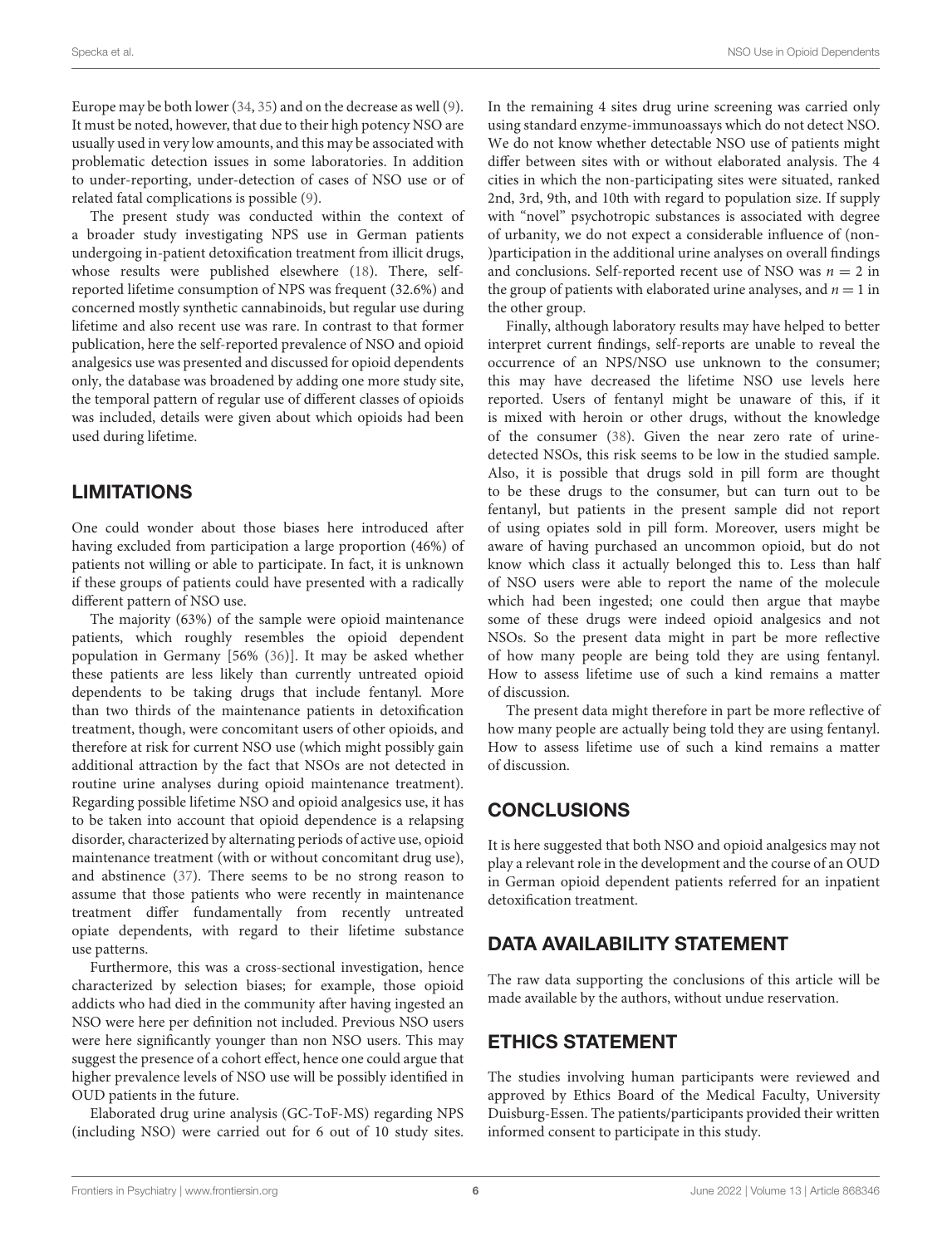Europe may be both lower [\(34,](#page-7-8) [35\)](#page-7-9) and on the decrease as well [\(9\)](#page-6-7). It must be noted, however, that due to their high potency NSO are usually used in very low amounts, and this may be associated with problematic detection issues in some laboratories. In addition to under-reporting, under-detection of cases of NSO use or of related fatal complications is possible [\(9\)](#page-6-7).

The present study was conducted within the context of a broader study investigating NPS use in German patients undergoing in-patient detoxification treatment from illicit drugs, whose results were published elsewhere [\(18\)](#page-6-16). There, selfreported lifetime consumption of NPS was frequent (32.6%) and concerned mostly synthetic cannabinoids, but regular use during lifetime and also recent use was rare. In contrast to that former publication, here the self-reported prevalence of NSO and opioid analgesics use was presented and discussed for opioid dependents only, the database was broadened by adding one more study site, the temporal pattern of regular use of different classes of opioids was included, details were given about which opioids had been used during lifetime.

# LIMITATIONS

One could wonder about those biases here introduced after having excluded from participation a large proportion (46%) of patients not willing or able to participate. In fact, it is unknown if these groups of patients could have presented with a radically different pattern of NSO use.

The majority (63%) of the sample were opioid maintenance patients, which roughly resembles the opioid dependent population in Germany [56% [\(36\)](#page-7-10)]. It may be asked whether these patients are less likely than currently untreated opioid dependents to be taking drugs that include fentanyl. More than two thirds of the maintenance patients in detoxification treatment, though, were concomitant users of other opioids, and therefore at risk for current NSO use (which might possibly gain additional attraction by the fact that NSOs are not detected in routine urine analyses during opioid maintenance treatment). Regarding possible lifetime NSO and opioid analgesics use, it has to be taken into account that opioid dependence is a relapsing disorder, characterized by alternating periods of active use, opioid maintenance treatment (with or without concomitant drug use), and abstinence [\(37\)](#page-7-11). There seems to be no strong reason to assume that those patients who were recently in maintenance treatment differ fundamentally from recently untreated opiate dependents, with regard to their lifetime substance use patterns.

Furthermore, this was a cross-sectional investigation, hence characterized by selection biases; for example, those opioid addicts who had died in the community after having ingested an NSO were here per definition not included. Previous NSO users were here significantly younger than non NSO users. This may suggest the presence of a cohort effect, hence one could argue that higher prevalence levels of NSO use will be possibly identified in OUD patients in the future.

Elaborated drug urine analysis (GC-ToF-MS) regarding NPS (including NSO) were carried out for 6 out of 10 study sites.

In the remaining 4 sites drug urine screening was carried only using standard enzyme-immunoassays which do not detect NSO. We do not know whether detectable NSO use of patients might differ between sites with or without elaborated analysis. The 4 cities in which the non-participating sites were situated, ranked 2nd, 3rd, 9th, and 10th with regard to population size. If supply with "novel" psychotropic substances is associated with degree of urbanity, we do not expect a considerable influence of (non- )participation in the additional urine analyses on overall findings and conclusions. Self-reported recent use of NSO was  $n = 2$  in the group of patients with elaborated urine analyses, and  $n = 1$  in the other group.

Finally, although laboratory results may have helped to better interpret current findings, self-reports are unable to reveal the occurrence of an NPS/NSO use unknown to the consumer; this may have decreased the lifetime NSO use levels here reported. Users of fentanyl might be unaware of this, if it is mixed with heroin or other drugs, without the knowledge of the consumer [\(38\)](#page-7-12). Given the near zero rate of urinedetected NSOs, this risk seems to be low in the studied sample. Also, it is possible that drugs sold in pill form are thought to be these drugs to the consumer, but can turn out to be fentanyl, but patients in the present sample did not report of using opiates sold in pill form. Moreover, users might be aware of having purchased an uncommon opioid, but do not know which class it actually belonged this to. Less than half of NSO users were able to report the name of the molecule which had been ingested; one could then argue that maybe some of these drugs were indeed opioid analgesics and not NSOs. So the present data might in part be more reflective of how many people are being told they are using fentanyl. How to assess lifetime use of such a kind remains a matter of discussion.

The present data might therefore in part be more reflective of how many people are actually being told they are using fentanyl. How to assess lifetime use of such a kind remains a matter of discussion.

# **CONCLUSIONS**

It is here suggested that both NSO and opioid analgesics may not play a relevant role in the development and the course of an OUD in German opioid dependent patients referred for an inpatient detoxification treatment.

# DATA AVAILABILITY STATEMENT

The raw data supporting the conclusions of this article will be made available by the authors, without undue reservation.

# ETHICS STATEMENT

The studies involving human participants were reviewed and approved by Ethics Board of the Medical Faculty, University Duisburg-Essen. The patients/participants provided their written informed consent to participate in this study.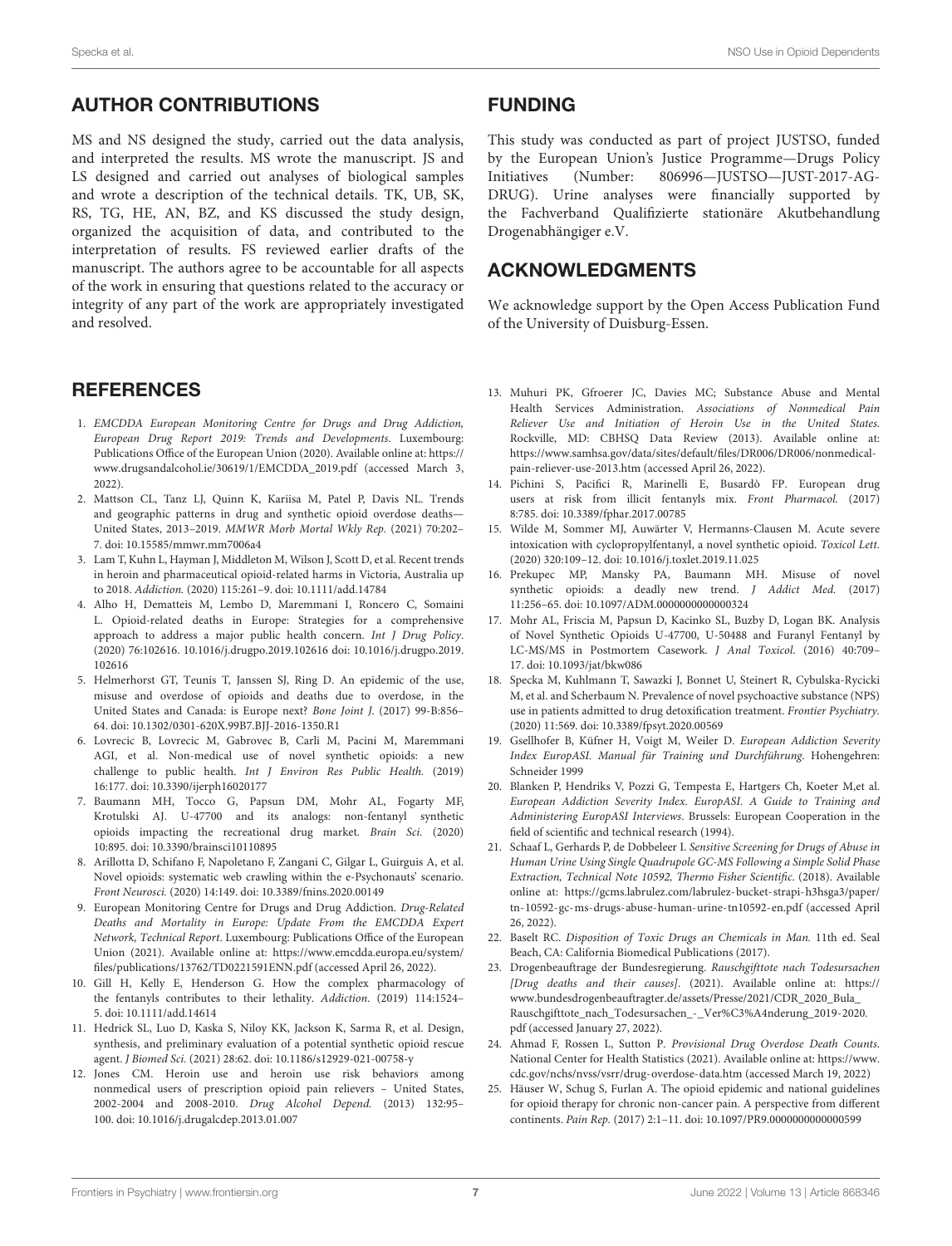# AUTHOR CONTRIBUTIONS

MS and NS designed the study, carried out the data analysis, and interpreted the results. MS wrote the manuscript. JS and LS designed and carried out analyses of biological samples and wrote a description of the technical details. TK, UB, SK, RS, TG, HE, AN, BZ, and KS discussed the study design, organized the acquisition of data, and contributed to the interpretation of results. FS reviewed earlier drafts of the manuscript. The authors agree to be accountable for all aspects of the work in ensuring that questions related to the accuracy or integrity of any part of the work are appropriately investigated and resolved.

### **REFERENCES**

- <span id="page-6-0"></span>1. EMCDDA European Monitoring Centre for Drugs and Drug Addiction, European Drug Report 2019: Trends and Developments. Luxembourg: Publications Office of the European Union (2020). Available online at: [https://](https://www.drugsandalcohol.ie/30619/1/EMCDDA_2019.pdf) [www.drugsandalcohol.ie/30619/1/EMCDDA\\_2019.pdf](https://www.drugsandalcohol.ie/30619/1/EMCDDA_2019.pdf) (accessed March 3, 2022).
- <span id="page-6-1"></span>2. Mattson CL, Tanz LJ, Quinn K, Kariisa M, Patel P, Davis NL. Trends and geographic patterns in drug and synthetic opioid overdose deaths— United States, 2013–2019. MMWR Morb Mortal Wkly Rep. (2021) 70:202– 7. doi: [10.15585/mmwr.mm7006a4](https://doi.org/10.15585/mmwr.mm7006a4)
- <span id="page-6-2"></span>3. Lam T, Kuhn L, Hayman J, Middleton M, Wilson J, Scott D, et al. Recent trends in heroin and pharmaceutical opioid-related harms in Victoria, Australia up to 2018. Addiction. (2020) 115:261–9. doi: [10.1111/add.14784](https://doi.org/10.1111/add.14784)
- <span id="page-6-3"></span>4. Alho H, Dematteis M, Lembo D, Maremmani I, Roncero C, Somaini L. Opioid-related deaths in Europe: Strategies for a comprehensive approach to address a major public health concern. Int J Drug Policy. [\(2020\) 76:102616. 10.1016/j.drugpo.2019.102616 doi: 10.1016/j.drugpo.2019.](https://doi.org/10.1016/j.drugpo.2019.102616) 102616
- <span id="page-6-4"></span>5. Helmerhorst GT, Teunis T, Janssen SJ, Ring D. An epidemic of the use, misuse and overdose of opioids and deaths due to overdose, in the United States and Canada: is Europe next? Bone Joint J. (2017) 99-B:856– 64. doi: [10.1302/0301-620X.99B7.BJJ-2016-1350.R1](https://doi.org/10.1302/0301-620X.99B7.BJJ-2016-1350.R1)
- <span id="page-6-5"></span>6. Lovrecic B, Lovrecic M, Gabrovec B, Carli M, Pacini M, Maremmani AGI, et al. Non-medical use of novel synthetic opioids: a new challenge to public health. Int J Environ Res Public Health. (2019) 16:177. doi: [10.3390/ijerph16020177](https://doi.org/10.3390/ijerph16020177)
- 7. Baumann MH, Tocco G, Papsun DM, Mohr AL, Fogarty MF, Krotulski AJ. U-47700 and its analogs: non-fentanyl synthetic opioids impacting the recreational drug market. Brain Sci. (2020) 10:895. doi: [10.3390/brainsci10110895](https://doi.org/10.3390/brainsci10110895)
- <span id="page-6-6"></span>8. Arillotta D, Schifano F, Napoletano F, Zangani C, Gilgar L, Guirguis A, et al. Novel opioids: systematic web crawling within the e-Psychonauts' scenario. Front Neurosci. (2020) 14:149. doi: [10.3389/fnins.2020.00149](https://doi.org/10.3389/fnins.2020.00149)
- <span id="page-6-7"></span>9. European Monitoring Centre for Drugs and Drug Addiction. Drug-Related Deaths and Mortality in Europe: Update From the EMCDDA Expert Network, Technical Report. Luxembourg: Publications Office of the European Union (2021). Available online at: [https://www.emcdda.europa.eu/system/](https://www.emcdda.europa.eu/system/files/publications/13762/TD0221591ENN.pdf) [files/publications/13762/TD0221591ENN.pdf](https://www.emcdda.europa.eu/system/files/publications/13762/TD0221591ENN.pdf) (accessed April 26, 2022).
- <span id="page-6-8"></span>10. Gill H, Kelly E, Henderson G. How the complex pharmacology of the fentanyls contributes to their lethality. Addiction. (2019) 114:1524– 5. doi: [10.1111/add.14614](https://doi.org/10.1111/add.14614)
- <span id="page-6-9"></span>11. Hedrick SL, Luo D, Kaska S, Niloy KK, Jackson K, Sarma R, et al. Design, synthesis, and preliminary evaluation of a potential synthetic opioid rescue agent. J Biomed Sci. (2021) 28:62. doi: [10.1186/s12929-021-00758-y](https://doi.org/10.1186/s12929-021-00758-y)
- <span id="page-6-10"></span>12. Jones CM. Heroin use and heroin use risk behaviors among nonmedical users of prescription opioid pain relievers – United States, 2002-2004 and 2008-2010. Drug Alcohol Depend. (2013) 132:95– 100. doi: [10.1016/j.drugalcdep.2013.01.007](https://doi.org/10.1016/j.drugalcdep.2013.01.007)

### FUNDING

This study was conducted as part of project JUSTSO, funded by the European Union's Justice Programme—Drugs Policy Initiatives (Number: 806996—JUSTSO—JUST-2017-AG-DRUG). Urine analyses were financially supported by the Fachverband Qualifizierte stationäre Akutbehandlung Drogenabhängiger e.V.

### ACKNOWLEDGMENTS

We acknowledge support by the Open Access Publication Fund of the University of Duisburg-Essen.

- <span id="page-6-11"></span>13. Muhuri PK, Gfroerer JC, Davies MC; Substance Abuse and Mental Health Services Administration. Associations of Nonmedical Pain Reliever Use and Initiation of Heroin Use in the United States. Rockville, MD: CBHSQ Data Review (2013). Available online at: [https://www.samhsa.gov/data/sites/default/files/DR006/DR006/nonmedical](https://www.samhsa.gov/data/sites/default/files/DR006/DR006/nonmedical-pain-reliever-use-2013.htm)[pain-reliever-use-2013.htm](https://www.samhsa.gov/data/sites/default/files/DR006/DR006/nonmedical-pain-reliever-use-2013.htm) (accessed April 26, 2022).
- <span id="page-6-12"></span>14. Pichini S, Pacifici R, Marinelli E, Busardò FP. European drug users at risk from illicit fentanyls mix. Front Pharmacol. (2017) 8:785. doi: [10.3389/fphar.2017.00785](https://doi.org/10.3389/fphar.2017.00785)
- <span id="page-6-13"></span>15. Wilde M, Sommer MJ, Auwärter V, Hermanns-Clausen M. Acute severe intoxication with cyclopropylfentanyl, a novel synthetic opioid. Toxicol Lett. (2020) 320:109–12. doi: [10.1016/j.toxlet.2019.11.025](https://doi.org/10.1016/j.toxlet.2019.11.025)
- <span id="page-6-14"></span>16. Prekupec MP, Mansky PA, Baumann MH. Misuse of novel synthetic opioids: a deadly new trend. J Addict Med. (2017) 11:256–65. doi: [10.1097/ADM.0000000000000324](https://doi.org/10.1097/ADM.0000000000000324)
- <span id="page-6-15"></span>17. Mohr AL, Friscia M, Papsun D, Kacinko SL, Buzby D, Logan BK. Analysis of Novel Synthetic Opioids U-47700, U-50488 and Furanyl Fentanyl by LC-MS/MS in Postmortem Casework. J Anal Toxicol. (2016) 40:709– 17. doi: [10.1093/jat/bkw086](https://doi.org/10.1093/jat/bkw086)
- <span id="page-6-16"></span>18. Specka M, Kuhlmann T, Sawazki J, Bonnet U, Steinert R, Cybulska-Rycicki M, et al. and Scherbaum N. Prevalence of novel psychoactive substance (NPS) use in patients admitted to drug detoxification treatment. Frontier Psychiatry. (2020) 11:569. doi: [10.3389/fpsyt.2020.00569](https://doi.org/10.3389/fpsyt.2020.00569)
- <span id="page-6-17"></span>19. Gsellhofer B, Küfner H, Voigt M, Weiler D. European Addiction Severity Index EuropASI. Manual für Training und Durchführung. Hohengehren: Schneider 1999
- <span id="page-6-18"></span>20. Blanken P, Hendriks V, Pozzi G, Tempesta E, Hartgers Ch, Koeter M,et al. European Addiction Severity Index. EuropASI. A Guide to Training and Administering EuropASI Interviews. Brussels: European Cooperation in the field of scientific and technical research (1994).
- <span id="page-6-19"></span>21. Schaaf L, Gerhards P, de Dobbeleer I. Sensitive Screening for Drugs of Abuse in Human Urine Using Single Quadrupole GC-MS Following a Simple Solid Phase Extraction, Technical Note 10592, Thermo Fisher Scientific. (2018). Available online at: [https://gcms.labrulez.com/labrulez-bucket-strapi-h3hsga3/paper/](https://gcms.labrulez.com/labrulez-bucket-strapi-h3hsga3/paper/tn-10592-gc-ms-drugs-abuse-human-urine-tn10592-en.pdf) [tn-10592-gc-ms-drugs-abuse-human-urine-tn10592-en.pdf](https://gcms.labrulez.com/labrulez-bucket-strapi-h3hsga3/paper/tn-10592-gc-ms-drugs-abuse-human-urine-tn10592-en.pdf) (accessed April 26, 2022).
- <span id="page-6-20"></span>22. Baselt RC. Disposition of Toxic Drugs an Chemicals in Man. 11th ed. Seal Beach, CA: California Biomedical Publications (2017).
- <span id="page-6-21"></span>23. Drogenbeauftrage der Bundesregierung. Rauschgifttote nach Todesursachen [Drug deaths and their causes]. (2021). Available online at: [https://](https://www.bundesdrogenbeauftragter.de/assets/Presse/2021/CDR_2020_Bula_Rauschgifttote_nach_Todesursachen_-_Ver%C3%A4nderung_2019-2020.pdf) [www.bundesdrogenbeauftragter.de/assets/Presse/2021/CDR\\_2020\\_Bula\\_](https://www.bundesdrogenbeauftragter.de/assets/Presse/2021/CDR_2020_Bula_Rauschgifttote_nach_Todesursachen_-_Ver%C3%A4nderung_2019-2020.pdf) [Rauschgifttote\\_nach\\_Todesursachen\\_-\\_Ver%C3%A4nderung\\_2019-2020.](https://www.bundesdrogenbeauftragter.de/assets/Presse/2021/CDR_2020_Bula_Rauschgifttote_nach_Todesursachen_-_Ver%C3%A4nderung_2019-2020.pdf) [pdf](https://www.bundesdrogenbeauftragter.de/assets/Presse/2021/CDR_2020_Bula_Rauschgifttote_nach_Todesursachen_-_Ver%C3%A4nderung_2019-2020.pdf) (accessed January 27, 2022).
- <span id="page-6-22"></span>24. Ahmad F, Rossen L, Sutton P. Provisional Drug Overdose Death Counts. National Center for Health Statistics (2021). Available online at: [https://www.](https://www.cdc.gov/nchs/nvss/vsrr/drug-overdose-data.htm) [cdc.gov/nchs/nvss/vsrr/drug-overdose-data.htm](https://www.cdc.gov/nchs/nvss/vsrr/drug-overdose-data.htm) (accessed March 19, 2022)
- <span id="page-6-23"></span>25. Häuser W, Schug S, Furlan A. The opioid epidemic and national guidelines for opioid therapy for chronic non-cancer pain. A perspective from different continents. Pain Rep. (2017) 2:1–11. doi: [10.1097/PR9.0000000000000599](https://doi.org/10.1097/PR9.0000000000000599)